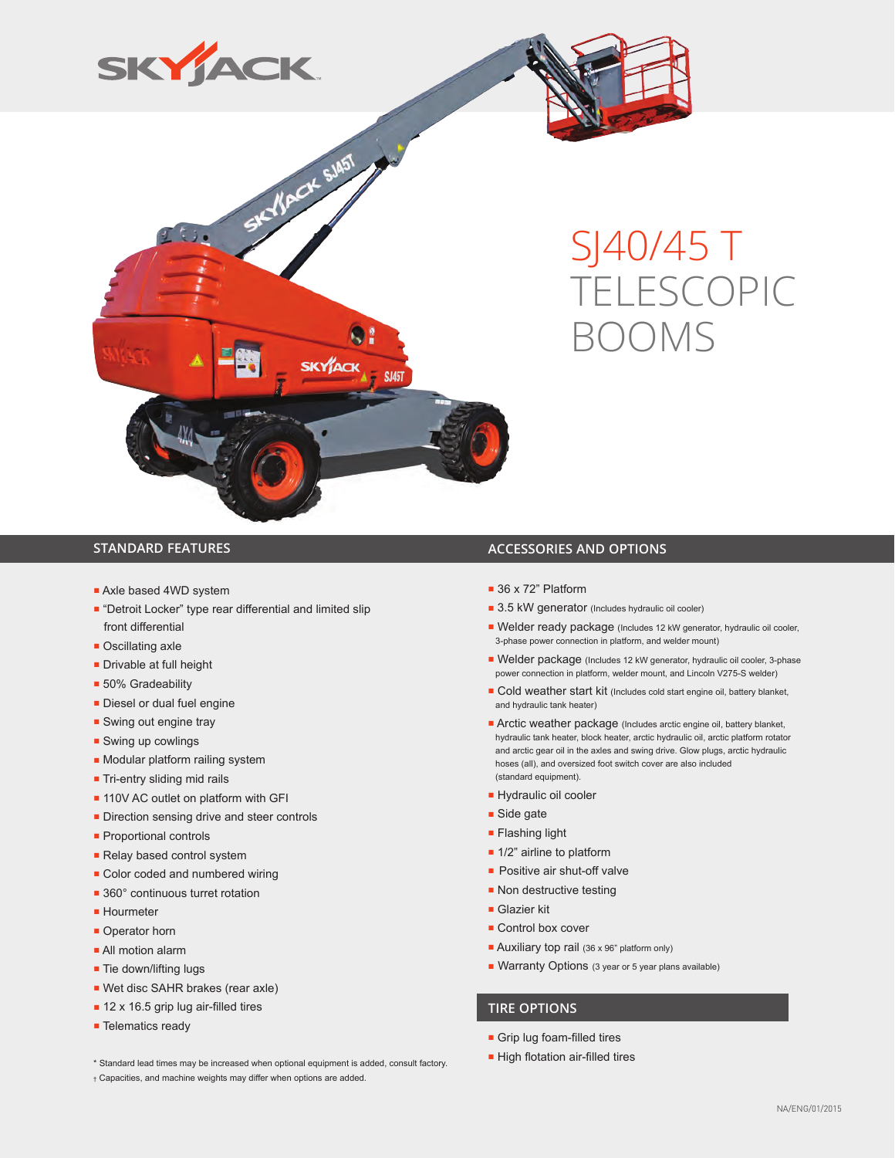





# SJ40/45 T TELESCOPIC BOOMS

- Axle based 4WD system
- "Detroit Locker" type rear differential and limited slip front differential
- Oscillating axle
- Drivable at full height
- 50% Gradeability
- Diesel or dual fuel engine
- Swing out engine tray
- Swing up cowlings
- Modular platform railing system
- Tri-entry sliding mid rails
- 110V AC outlet on platform with GFI
- Direction sensing drive and steer controls
- Proportional controls
- Relay based control system
- Color coded and numbered wiring
- 360° continuous turret rotation
- Hourmeter
- Operator horn
- All motion alarm
- Tie down/lifting lugs
- Wet disc SAHR brakes (rear axle)
- 12 x 16.5 grip lug air-filled tires
- Telematics ready

### ■ High flotation air-filled tires \* Standard lead times may be increased when optional equipment is added, consult factory.

† Capacities, and machine weights may differ when options are added.

#### **STANDARD FEATURES ACCESSORIES AND OPTIONS**

- 36 x 72" Platform
- 3.5 kW generator (Includes hydraulic oil cooler)
- Welder ready package (Includes 12 kW generator, hydraulic oil cooler, 3-phase power connection in platform, and welder mount)
- Welder package (Includes 12 kW generator, hydraulic oil cooler, 3-phase power connection in platform, welder mount, and Lincoln V275-S welder)
- Cold weather start kit (Includes cold start engine oil, battery blanket, and hydraulic tank heater)
- Arctic weather package (Includes arctic engine oil, battery blanket, hydraulic tank heater, block heater, arctic hydraulic oil, arctic platform rotator and arctic gear oil in the axles and swing drive. Glow plugs, arctic hydraulic hoses (all), and oversized foot switch cover are also included (standard equipment).
- Hydraulic oil cooler
- Side gate
- Flashing light
- 1/2" airline to platform
- Positive air shut-off valve
- Non destructive testing
- Glazier kit
- Control box cover
- Auxiliary top rail (36 x 96" platform only)
- Warranty Options (3 year or 5 year plans available)

#### **TIRE OPTIONS**

- Grip lug foam-filled tires
-